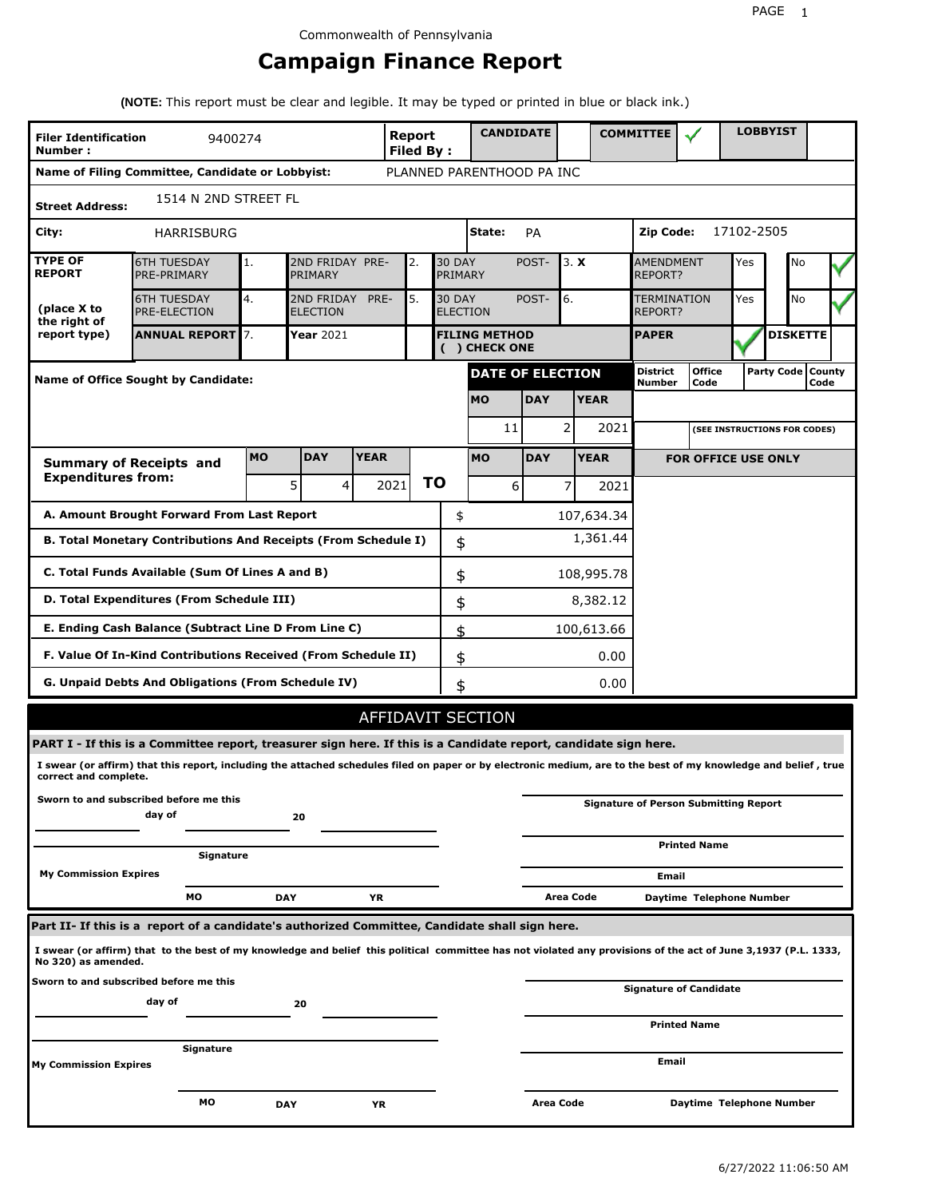# **Campaign Finance Report**

**(NOTE:** This report must be clear and legible. It may be typed or printed in blue or black ink.)

| <b>Filer Identification</b><br>Number:          | 9400274                                                                                                                                                         |           |                                             |                                      | <b>Report</b><br>Filed By: |    | <b>CANDIDATE</b>                 |                  |                |             | <b>COMMITTEE</b>                   |                                              |            | <b>LOBBYIST</b>              |                             |  |
|-------------------------------------------------|-----------------------------------------------------------------------------------------------------------------------------------------------------------------|-----------|---------------------------------------------|--------------------------------------|----------------------------|----|----------------------------------|------------------|----------------|-------------|------------------------------------|----------------------------------------------|------------|------------------------------|-----------------------------|--|
|                                                 | Name of Filing Committee, Candidate or Lobbyist:                                                                                                                |           |                                             |                                      |                            |    | PLANNED PARENTHOOD PA INC        |                  |                |             |                                    |                                              |            |                              |                             |  |
| <b>Street Address:</b>                          | 1514 N 2ND STREET FL                                                                                                                                            |           |                                             |                                      |                            |    |                                  |                  |                |             |                                    |                                              |            |                              |                             |  |
| City:                                           | HARRISBURG                                                                                                                                                      |           |                                             |                                      |                            |    | State:                           | PA               |                |             | Zip Code:                          |                                              | 17102-2505 |                              |                             |  |
| <b>TYPE OF</b><br><b>REPORT</b>                 | <b>6TH TUESDAY</b><br>PRE-PRIMARY                                                                                                                               | 1.        | 2ND FRIDAY PRE-<br>2.<br>PRIMARY            |                                      |                            |    | <b>30 DAY</b><br>PRIMARY         | POST-            | 3. X           |             | <b>AMENDMENT</b><br><b>REPORT?</b> |                                              | Yes        | No                           |                             |  |
| (place X to<br>the right of                     | <b>6TH TUESDAY</b><br><b>PRE-ELECTION</b>                                                                                                                       | 4.        | 2ND FRIDAY<br>PRE-<br>5.<br><b>ELECTION</b> |                                      |                            |    | <b>30 DAY</b><br><b>ELECTION</b> | POST-            | 6.             |             | TERMINATION<br>REPORT?             |                                              | Yes        | No                           |                             |  |
| report type)                                    | <b>ANNUAL REPORT</b> 7.                                                                                                                                         |           | Year 2021                                   | <b>FILING METHOD</b><br>() CHECK ONE |                            |    |                                  |                  |                |             | <b>PAPER</b>                       |                                              |            | <b>DISKETTE</b>              |                             |  |
|                                                 | Name of Office Sought by Candidate:                                                                                                                             |           |                                             |                                      |                            |    | <b>DATE OF ELECTION</b>          |                  |                |             | <b>District</b><br><b>Number</b>   | <b>Office</b><br>Code                        |            |                              | Party Code   County<br>Code |  |
|                                                 |                                                                                                                                                                 |           |                                             |                                      |                            |    | <b>MO</b>                        | <b>DAY</b>       |                | <b>YEAR</b> |                                    |                                              |            |                              |                             |  |
|                                                 |                                                                                                                                                                 |           |                                             |                                      |                            |    | 11                               |                  | 2              | 2021        |                                    |                                              |            | (SEE INSTRUCTIONS FOR CODES) |                             |  |
|                                                 | <b>Summary of Receipts and</b>                                                                                                                                  | <b>MO</b> | <b>DAY</b>                                  | <b>YEAR</b>                          |                            |    | <b>MO</b>                        | <b>DAY</b>       |                | <b>YEAR</b> |                                    | <b>FOR OFFICE USE ONLY</b>                   |            |                              |                             |  |
| <b>Expenditures from:</b>                       |                                                                                                                                                                 |           | 5<br>$\overline{4}$                         |                                      | 2021                       | ΤO | 6                                |                  | 7              | 2021        |                                    |                                              |            |                              |                             |  |
|                                                 | A. Amount Brought Forward From Last Report                                                                                                                      |           |                                             |                                      |                            | \$ |                                  |                  |                | 107,634.34  |                                    |                                              |            |                              |                             |  |
|                                                 | B. Total Monetary Contributions And Receipts (From Schedule I)                                                                                                  |           |                                             |                                      |                            |    |                                  |                  | 1,361.44<br>\$ |             |                                    |                                              |            |                              |                             |  |
| C. Total Funds Available (Sum Of Lines A and B) |                                                                                                                                                                 | \$        |                                             |                                      | 108,995.78                 |    |                                  |                  |                |             |                                    |                                              |            |                              |                             |  |
|                                                 | D. Total Expenditures (From Schedule III)                                                                                                                       |           |                                             |                                      |                            |    | \$                               |                  |                | 8,382.12    |                                    |                                              |            |                              |                             |  |
|                                                 | E. Ending Cash Balance (Subtract Line D From Line C)                                                                                                            |           |                                             |                                      |                            |    | \$                               |                  |                | 100,613.66  |                                    |                                              |            |                              |                             |  |
|                                                 | F. Value Of In-Kind Contributions Received (From Schedule II)                                                                                                   |           |                                             |                                      |                            |    | \$                               |                  |                | 0.00        |                                    |                                              |            |                              |                             |  |
|                                                 | <b>G. Unpaid Debts And Obligations (From Schedule IV)</b>                                                                                                       |           |                                             |                                      |                            |    | \$                               |                  |                | 0.00        |                                    |                                              |            |                              |                             |  |
|                                                 |                                                                                                                                                                 |           |                                             |                                      |                            |    | AFFIDAVIT SECTION                |                  |                |             |                                    |                                              |            |                              |                             |  |
|                                                 | PART I - If this is a Committee report, treasurer sign here. If this is a Candidate report, candidate sign here.                                                |           |                                             |                                      |                            |    |                                  |                  |                |             |                                    |                                              |            |                              |                             |  |
| correct and complete.                           | I swear (or affirm) that this report, including the attached schedules filed on paper or by electronic medium, are to the best of my knowledge and belief, true |           |                                             |                                      |                            |    |                                  |                  |                |             |                                    |                                              |            |                              |                             |  |
|                                                 | Sworn to and subscribed before me this<br>day of                                                                                                                |           | 20                                          |                                      |                            |    |                                  |                  |                |             |                                    | <b>Signature of Person Submitting Report</b> |            |                              |                             |  |
|                                                 | Signature                                                                                                                                                       |           |                                             |                                      |                            |    |                                  |                  |                |             |                                    | <b>Printed Name</b>                          |            |                              |                             |  |
| <b>My Commission Expires</b>                    |                                                                                                                                                                 |           |                                             |                                      |                            |    |                                  |                  |                |             | Email                              |                                              |            |                              |                             |  |
|                                                 | МO                                                                                                                                                              |           | <b>DAY</b>                                  | YR                                   |                            |    |                                  |                  | Area Code      |             |                                    | Daytime Telephone Number                     |            |                              |                             |  |
|                                                 | Part II- If this is a report of a candidate's authorized Committee, Candidate shall sign here.                                                                  |           |                                             |                                      |                            |    |                                  |                  |                |             |                                    |                                              |            |                              |                             |  |
| No 320) as amended.                             | I swear (or affirm) that to the best of my knowledge and belief this political committee has not violated any provisions of the act of June 3,1937 (P.L. 1333,  |           |                                             |                                      |                            |    |                                  |                  |                |             |                                    |                                              |            |                              |                             |  |
|                                                 | Sworn to and subscribed before me this<br>day of                                                                                                                |           | 20                                          |                                      |                            |    |                                  |                  |                |             |                                    | <b>Signature of Candidate</b>                |            |                              |                             |  |
|                                                 |                                                                                                                                                                 |           |                                             |                                      |                            |    |                                  |                  |                |             |                                    | <b>Printed Name</b>                          |            |                              |                             |  |
| My Commission Expires                           | Signature                                                                                                                                                       |           |                                             |                                      |                            |    |                                  |                  |                |             | Email                              |                                              |            |                              |                             |  |
|                                                 | МO                                                                                                                                                              |           | <b>DAY</b>                                  | YR                                   |                            |    |                                  | <b>Area Code</b> |                |             |                                    | Daytime Telephone Number                     |            |                              |                             |  |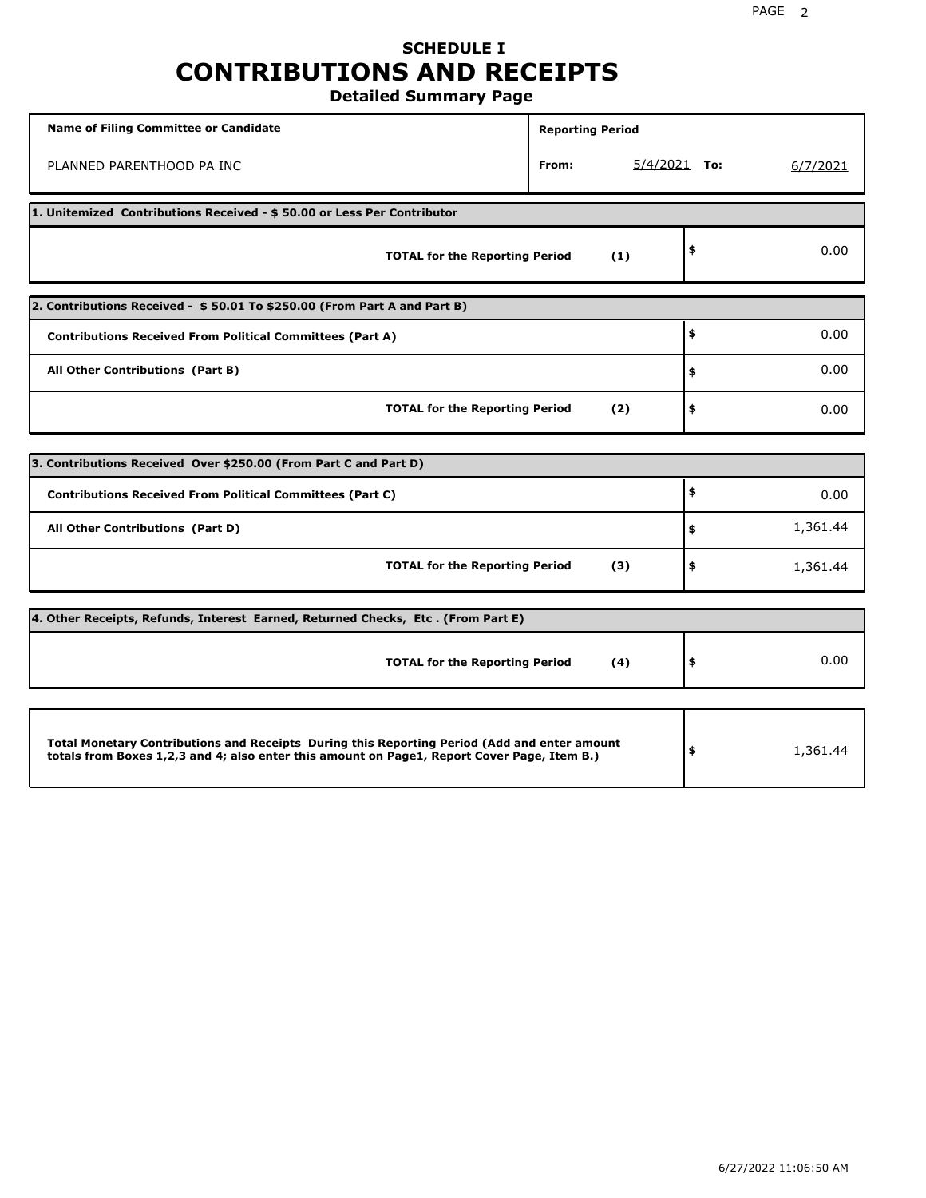## **SCHEDULE I CONTRIBUTIONS AND RECEIPTS Detailed Summary Page**

**Name of Filing Committee or Candidate Reporting Period Reporting Period** PLANNED PARENTHOOD PA INC **From:** 5/4/2021 **To:** 6/7/2021 **1. Unitemized Contributions Received - \$ 50.00 or Less Per Contributor TOTAL for the Reporting Period (1) \$** 0.00 **2. Contributions Received - \$ 50.01 To \$250.00 (From Part A and Part B) TOTAL for the Reporting Period (2) Contributions Received From Political Committees (Part A) All Other Contributions (Part B) \$ \$ \$** 0.00 0.00 0.00 **3. Contributions Received Over \$250.00 (From Part C and Part D) TOTAL for the Reporting Period (3) Contributions Received From Political Committees (Part C) All Other Contributions (Part D) \$ \$ \$** 0.00 1,361.44 1,361.44 **4. Other Receipts, Refunds, Interest Earned, Returned Checks, Etc . (From Part E) TOTAL for the Reporting Period (4) \$** 0.00 **Total Monetary Contributions and Receipts During this Reporting Period (Add and enter amount totals from Boxes 1,2,3 and 4; also enter this amount on Page1, Report Cover Page, Item B.) \$** 1,361.44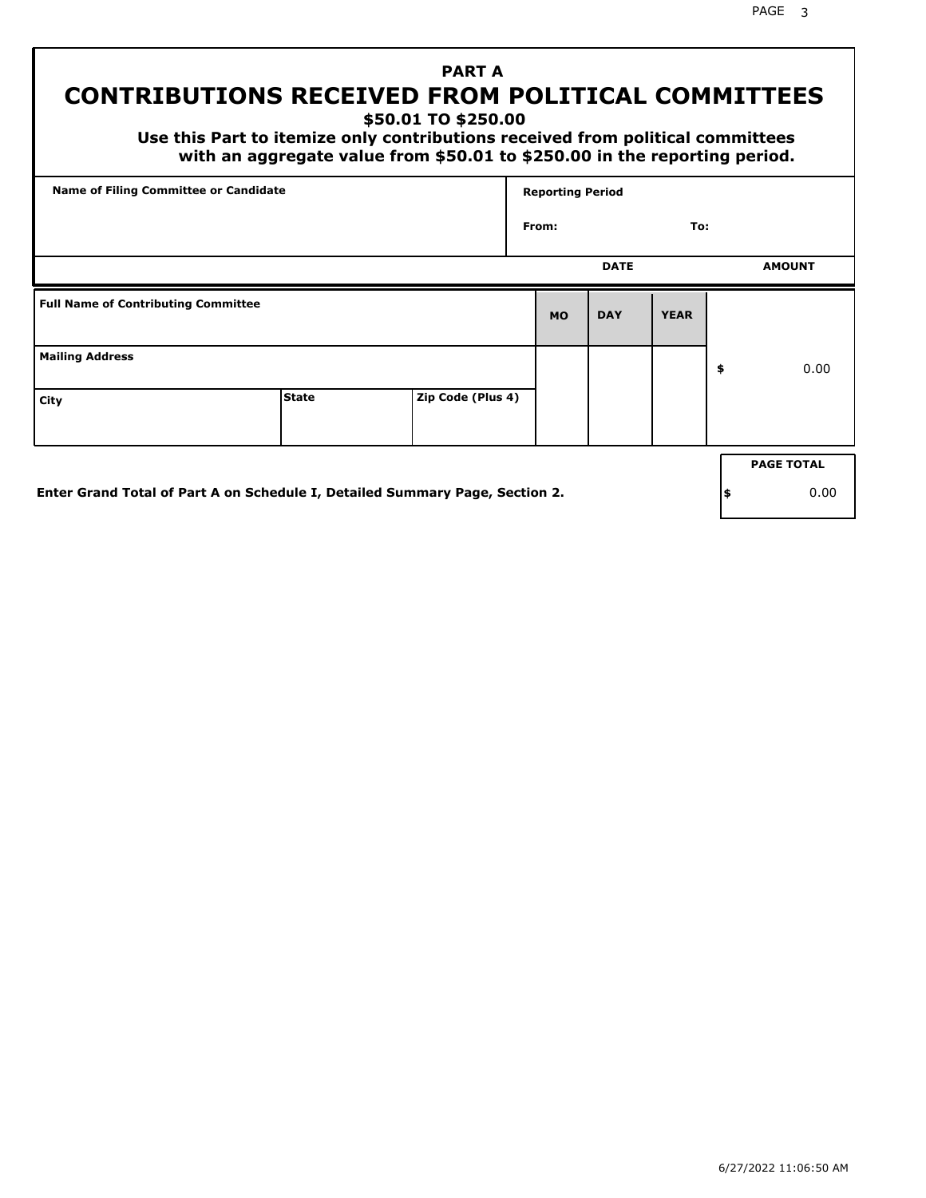PAGE 3

# **PART A CONTRIBUTIONS RECEIVED FROM POLITICAL COMMITTEES**

**\$50.01 TO \$250.00**

 **Use this Part to itemize only contributions received from political committees with an aggregate value from \$50.01 to \$250.00 in the reporting period.**

| Name of Filing Committee or Candidate      |              |                   | <b>Reporting Period</b> |             |             |    |                   |
|--------------------------------------------|--------------|-------------------|-------------------------|-------------|-------------|----|-------------------|
|                                            |              |                   | From:                   |             | To:         |    |                   |
|                                            |              |                   |                         | <b>DATE</b> |             |    | <b>AMOUNT</b>     |
| <b>Full Name of Contributing Committee</b> |              |                   | <b>MO</b>               | <b>DAY</b>  | <b>YEAR</b> |    |                   |
| <b>Mailing Address</b>                     |              |                   |                         |             |             | \$ | 0.00              |
| City                                       | <b>State</b> | Zip Code (Plus 4) |                         |             |             |    |                   |
|                                            |              |                   |                         |             |             |    | <b>PAGE TOTAL</b> |
|                                            |              |                   |                         |             |             |    |                   |

**Enter Grand Total of Part A on Schedule I, Detailed Summary Page, Section 2.**

**\$** 0.00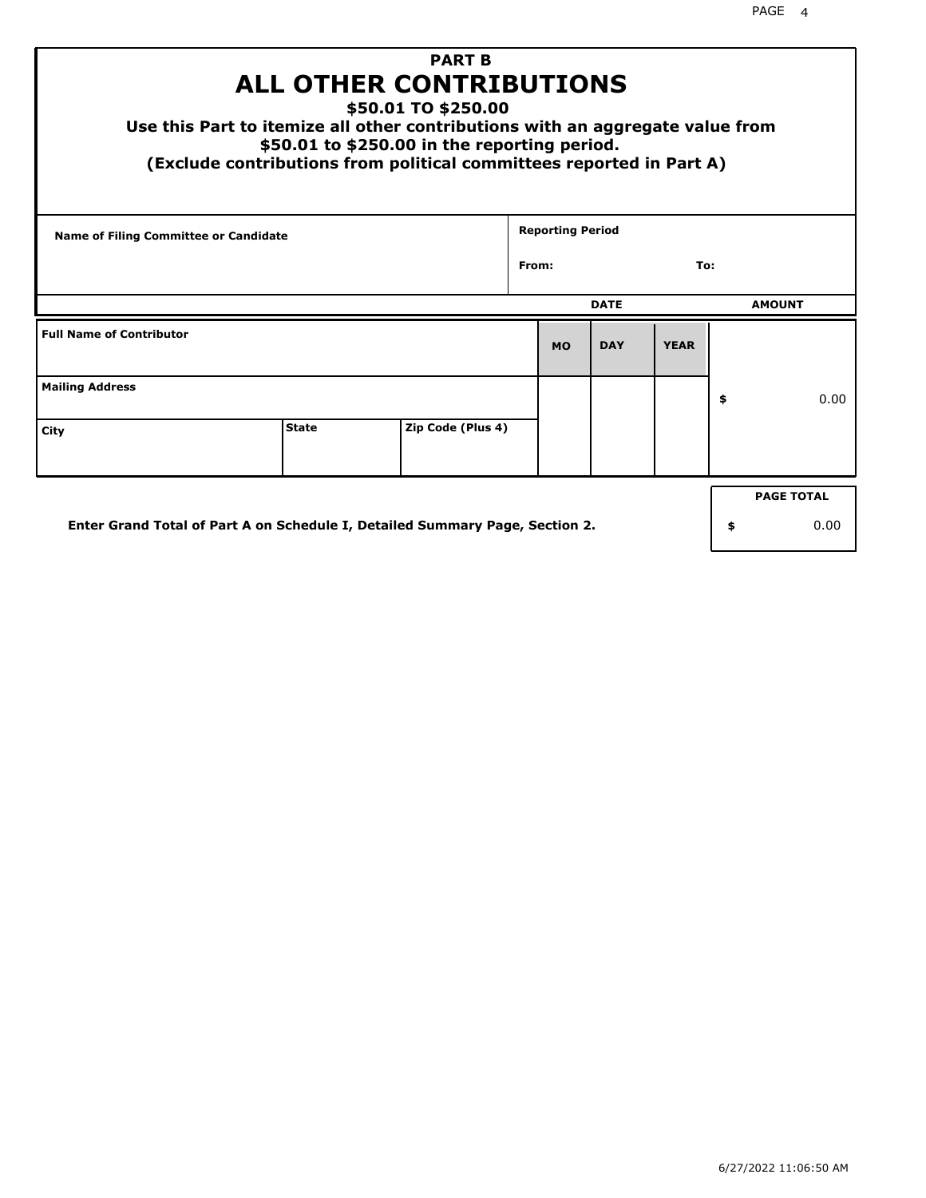| <b>PART B</b><br><b>ALL OTHER CONTRIBUTIONS</b><br>\$50.01 TO \$250.00<br>Use this Part to itemize all other contributions with an aggregate value from<br>\$50.01 to \$250.00 in the reporting period.<br>(Exclude contributions from political committees reported in Part A) |              |                   |  |                         |             |             |    |               |  |
|---------------------------------------------------------------------------------------------------------------------------------------------------------------------------------------------------------------------------------------------------------------------------------|--------------|-------------------|--|-------------------------|-------------|-------------|----|---------------|--|
| <b>Name of Filing Committee or Candidate</b>                                                                                                                                                                                                                                    |              |                   |  | <b>Reporting Period</b> |             |             |    |               |  |
| From:<br>To:                                                                                                                                                                                                                                                                    |              |                   |  |                         |             |             |    |               |  |
|                                                                                                                                                                                                                                                                                 |              |                   |  |                         | <b>DATE</b> |             |    | <b>AMOUNT</b> |  |
| <b>Full Name of Contributor</b>                                                                                                                                                                                                                                                 |              |                   |  | <b>MO</b>               | <b>DAY</b>  | <b>YEAR</b> |    |               |  |
| <b>Mailing Address</b>                                                                                                                                                                                                                                                          |              |                   |  |                         |             |             | \$ | 0.00          |  |
| City                                                                                                                                                                                                                                                                            | <b>State</b> | Zip Code (Plus 4) |  |                         |             |             |    |               |  |
| <b>PAGE TOTAL</b>                                                                                                                                                                                                                                                               |              |                   |  |                         |             |             |    |               |  |
| Enter Grand Total of Part A on Schedule I, Detailed Summary Page, Section 2.<br>0.00<br>\$                                                                                                                                                                                      |              |                   |  |                         |             |             |    |               |  |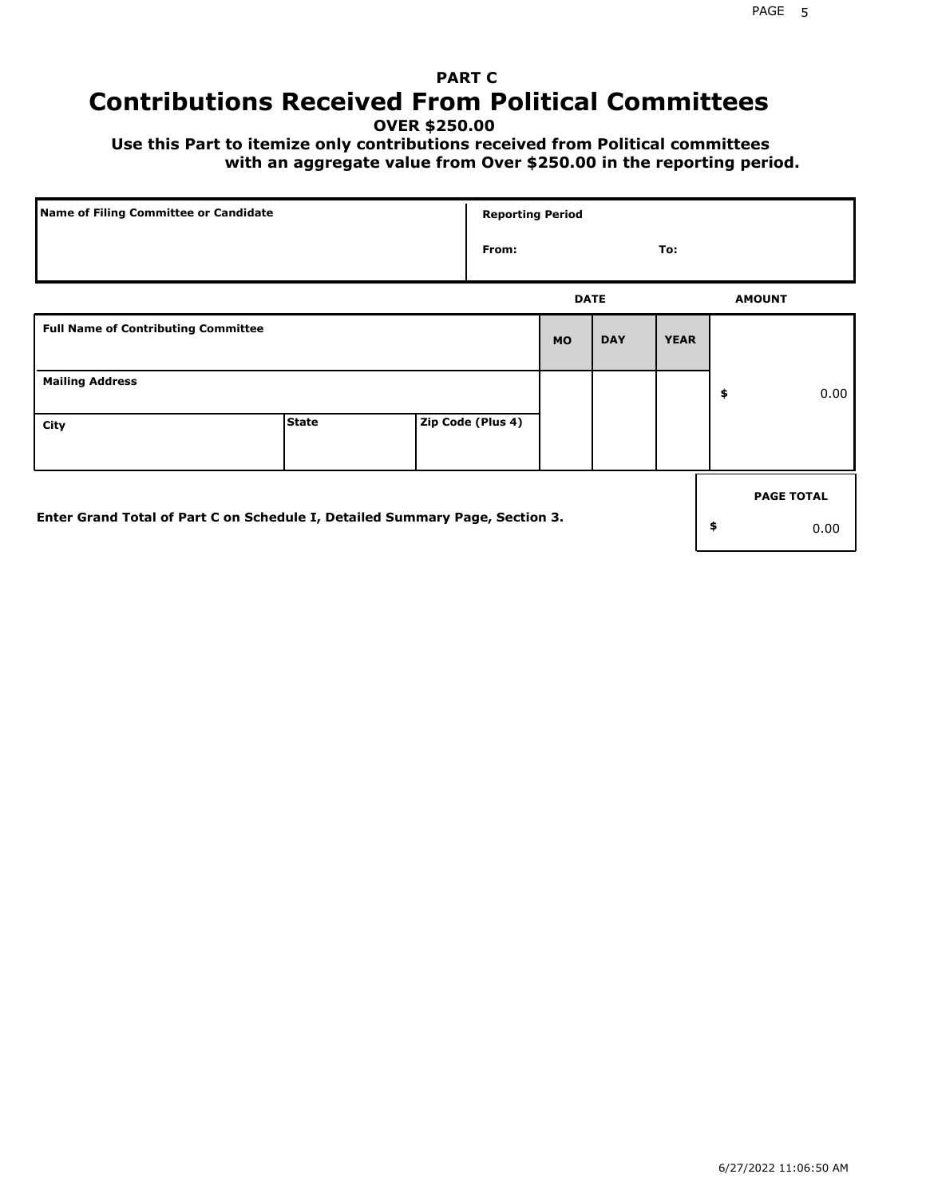# **PART C Contributions Received From Political Committees**

**OVER \$250.00**

 **Use this Part to itemize only contributions received from Political committees with an aggregate value from Over \$250.00 in the reporting period.**

| Name of Filing Committee or Candidate                                        |              |  | <b>Reporting Period</b> |           |             |             |    |                   |  |
|------------------------------------------------------------------------------|--------------|--|-------------------------|-----------|-------------|-------------|----|-------------------|--|
|                                                                              |              |  | From:                   |           |             | To:         |    |                   |  |
|                                                                              |              |  |                         |           | <b>DATE</b> |             |    | <b>AMOUNT</b>     |  |
| <b>Full Name of Contributing Committee</b>                                   |              |  |                         | <b>MO</b> | <b>DAY</b>  | <b>YEAR</b> |    |                   |  |
| <b>Mailing Address</b>                                                       |              |  |                         |           |             |             | \$ | 0.00              |  |
| City                                                                         | <b>State</b> |  | Zip Code (Plus 4)       |           |             |             |    |                   |  |
|                                                                              |              |  |                         |           |             |             |    | <b>PAGE TOTAL</b> |  |
| Enter Grand Total of Part C on Schedule I, Detailed Summary Page, Section 3. |              |  |                         |           |             |             | \$ | 0.00              |  |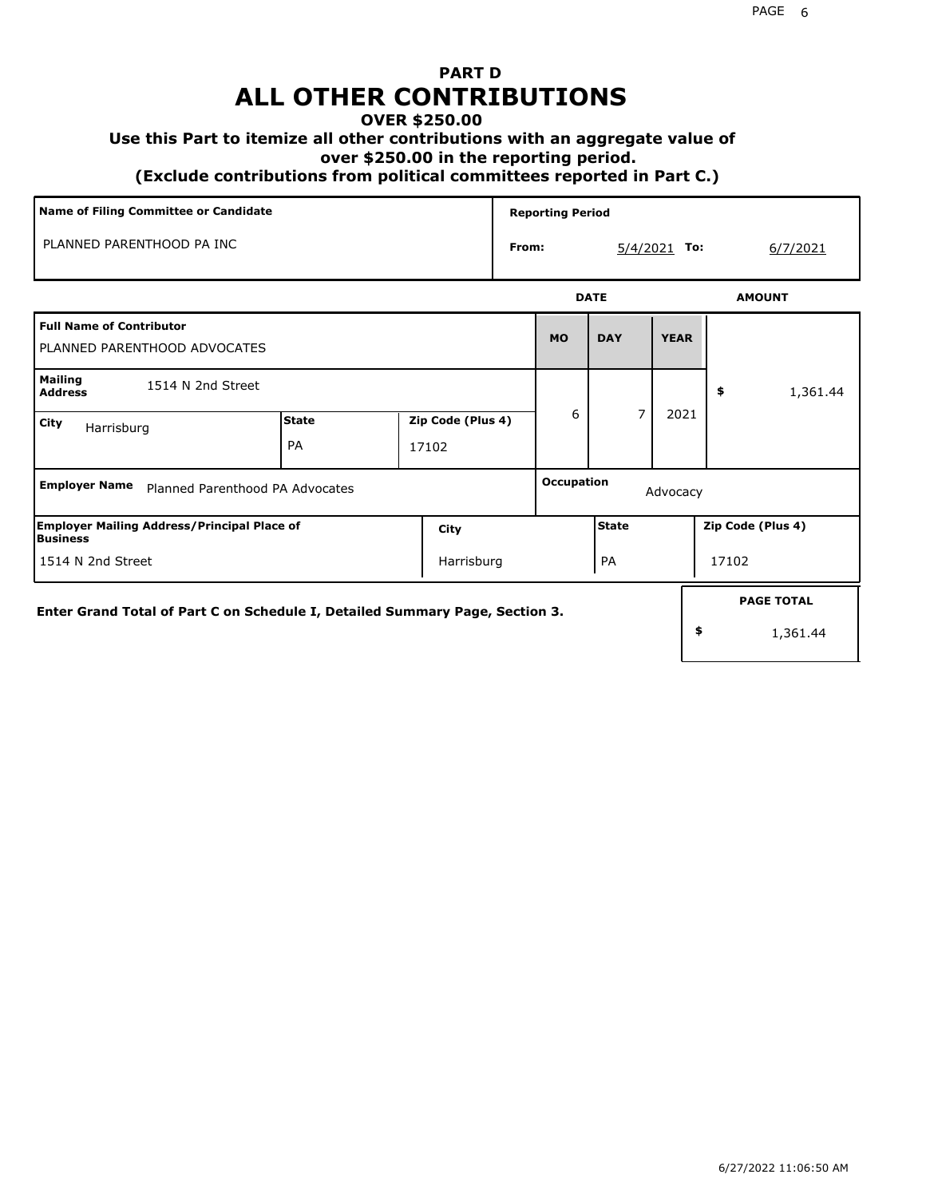## **PART D ALL OTHER CONTRIBUTIONS**

### **OVER \$250.00**

## **Use this Part to itemize all other contributions with an aggregate value of**

 **over \$250.00 in the reporting period.**

 **(Exclude contributions from political committees reported in Part C.)** 

| Name of Filing Committee or Candidate                           |                    |                            |  | <b>Reporting Period</b> |                              |                   |                |  |  |  |  |
|-----------------------------------------------------------------|--------------------|----------------------------|--|-------------------------|------------------------------|-------------------|----------------|--|--|--|--|
| PLANNED PARENTHOOD PA INC                                       |                    |                            |  | From:                   |                              | $5/4/2021$ To:    | 6/7/2021       |  |  |  |  |
|                                                                 |                    |                            |  |                         | <b>DATE</b><br><b>AMOUNT</b> |                   |                |  |  |  |  |
| <b>Full Name of Contributor</b><br>PLANNED PARENTHOOD ADVOCATES |                    |                            |  | <b>MO</b>               | <b>DAY</b>                   | <b>YEAR</b>       |                |  |  |  |  |
| <b>Mailing</b><br>1514 N 2nd Street<br><b>Address</b>           |                    |                            |  |                         |                              |                   | \$<br>1,361.44 |  |  |  |  |
| City<br>Harrisburg                                              | <b>State</b><br>PA | Zip Code (Plus 4)<br>17102 |  | 6                       | 7                            | 2021              |                |  |  |  |  |
| <b>Employer Name</b><br>Planned Parenthood PA Advocates         |                    |                            |  | Occupation              |                              | Advocacy          |                |  |  |  |  |
| <b>Employer Mailing Address/Principal Place of</b><br>Business  | City               | State                      |  |                         |                              | Zip Code (Plus 4) |                |  |  |  |  |

Harrisburg | PA | 17102

**Enter Grand Total of Part C on Schedule I, Detailed Summary Page, Section 3.**

1514 N 2nd Street

1,361.44

**PAGE TOTAL**

**\$**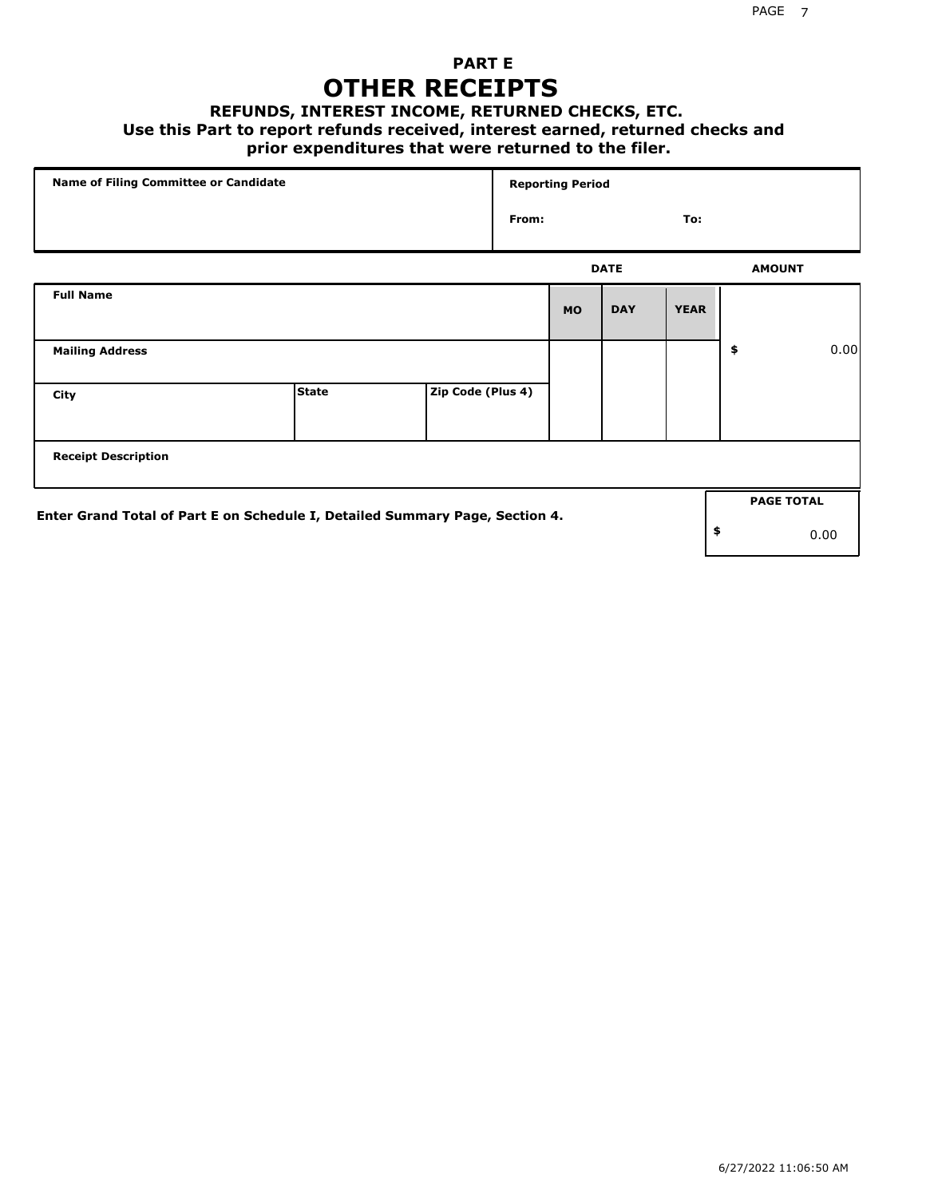## **PART E OTHER RECEIPTS**

#### **REFUNDS, INTEREST INCOME, RETURNED CHECKS, ETC.**

 **Use this Part to report refunds received, interest earned, returned checks and**

## **prior expenditures that were returned to the filer.**

| Name of Filing Committee or Candidate                                        |              |                   | <b>Reporting Period</b> |           |             |             |    |                   |      |
|------------------------------------------------------------------------------|--------------|-------------------|-------------------------|-----------|-------------|-------------|----|-------------------|------|
|                                                                              |              |                   | From:                   |           |             | To:         |    |                   |      |
|                                                                              |              |                   |                         |           | <b>DATE</b> |             |    | <b>AMOUNT</b>     |      |
| <b>Full Name</b>                                                             |              |                   |                         | <b>MO</b> | <b>DAY</b>  | <b>YEAR</b> |    |                   |      |
| <b>Mailing Address</b>                                                       |              |                   |                         |           |             |             | \$ |                   | 0.00 |
| City                                                                         | <b>State</b> | Zip Code (Plus 4) |                         |           |             |             |    |                   |      |
| <b>Receipt Description</b>                                                   |              |                   |                         |           |             |             |    |                   |      |
|                                                                              |              |                   |                         |           |             |             |    | <b>PAGE TOTAL</b> |      |
| Enter Grand Total of Part E on Schedule I, Detailed Summary Page, Section 4. |              |                   |                         |           |             |             | \$ |                   | 0.00 |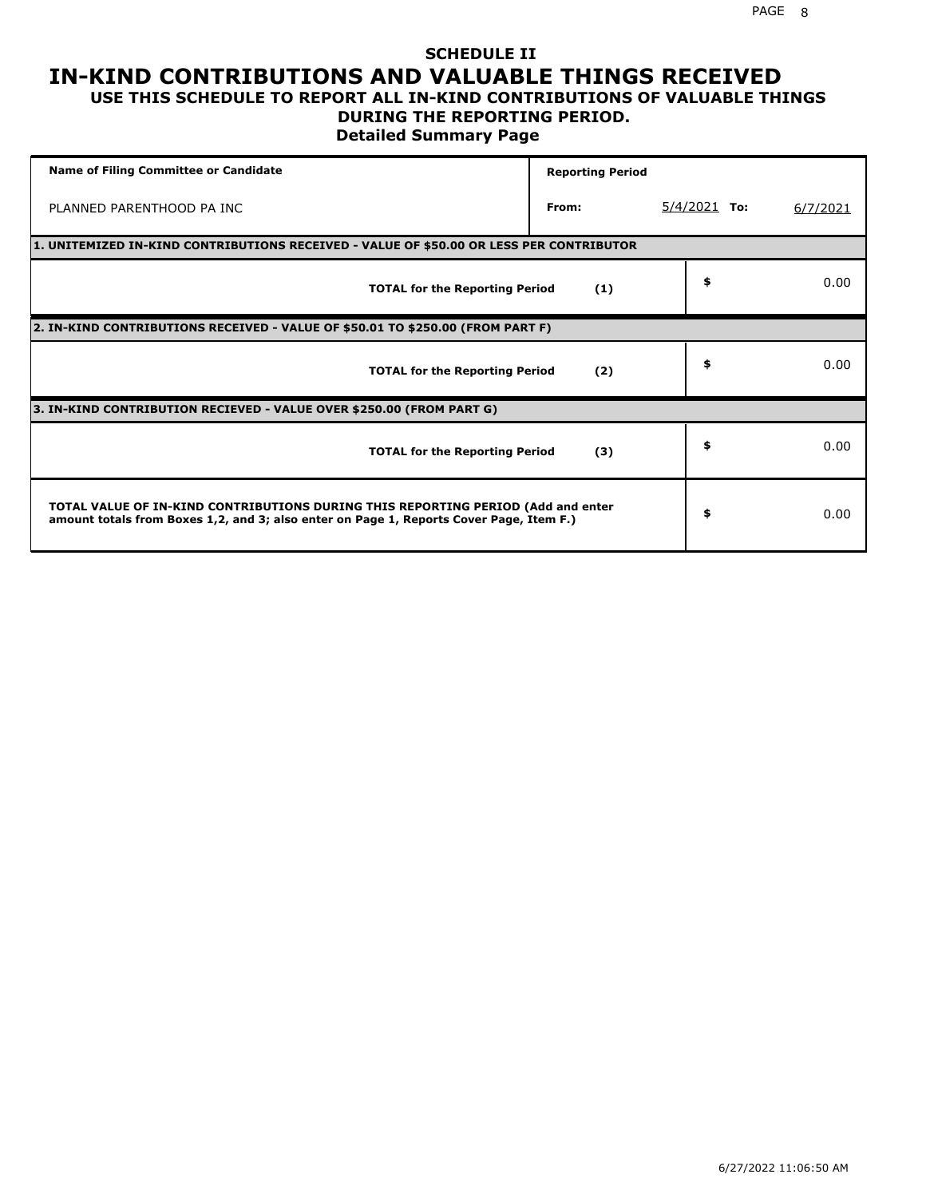### **SCHEDULE II IN-KIND CONTRIBUTIONS AND VALUABLE THINGS RECEIVED USE THIS SCHEDULE TO REPORT ALL IN-KIND CONTRIBUTIONS OF VALUABLE THINGS**

### **DURING THE REPORTING PERIOD.**

**Detailed Summary Page**

| <b>Name of Filing Committee or Candidate</b>                                                                                                                                | <b>Reporting Period</b> |                |          |
|-----------------------------------------------------------------------------------------------------------------------------------------------------------------------------|-------------------------|----------------|----------|
| PLANNED PARENTHOOD PA INC                                                                                                                                                   | From:                   | $5/4/2021$ To: | 6/7/2021 |
| 1. UNITEMIZED IN-KIND CONTRIBUTIONS RECEIVED - VALUE OF \$50.00 OR LESS PER CONTRIBUTOR                                                                                     |                         |                |          |
| <b>TOTAL for the Reporting Period</b>                                                                                                                                       | (1)                     | \$             | 0.00     |
| 2. IN-KIND CONTRIBUTIONS RECEIVED - VALUE OF \$50.01 TO \$250.00 (FROM PART F)                                                                                              |                         |                |          |
| <b>TOTAL for the Reporting Period</b>                                                                                                                                       | (2)                     | \$             | 0.00     |
| 3. IN-KIND CONTRIBUTION RECIEVED - VALUE OVER \$250.00 (FROM PART G)                                                                                                        |                         |                |          |
| <b>TOTAL for the Reporting Period</b>                                                                                                                                       | (3)                     | \$             | 0.00     |
| TOTAL VALUE OF IN-KIND CONTRIBUTIONS DURING THIS REPORTING PERIOD (Add and enter<br>amount totals from Boxes 1,2, and 3; also enter on Page 1, Reports Cover Page, Item F.) |                         | \$             | 0.00     |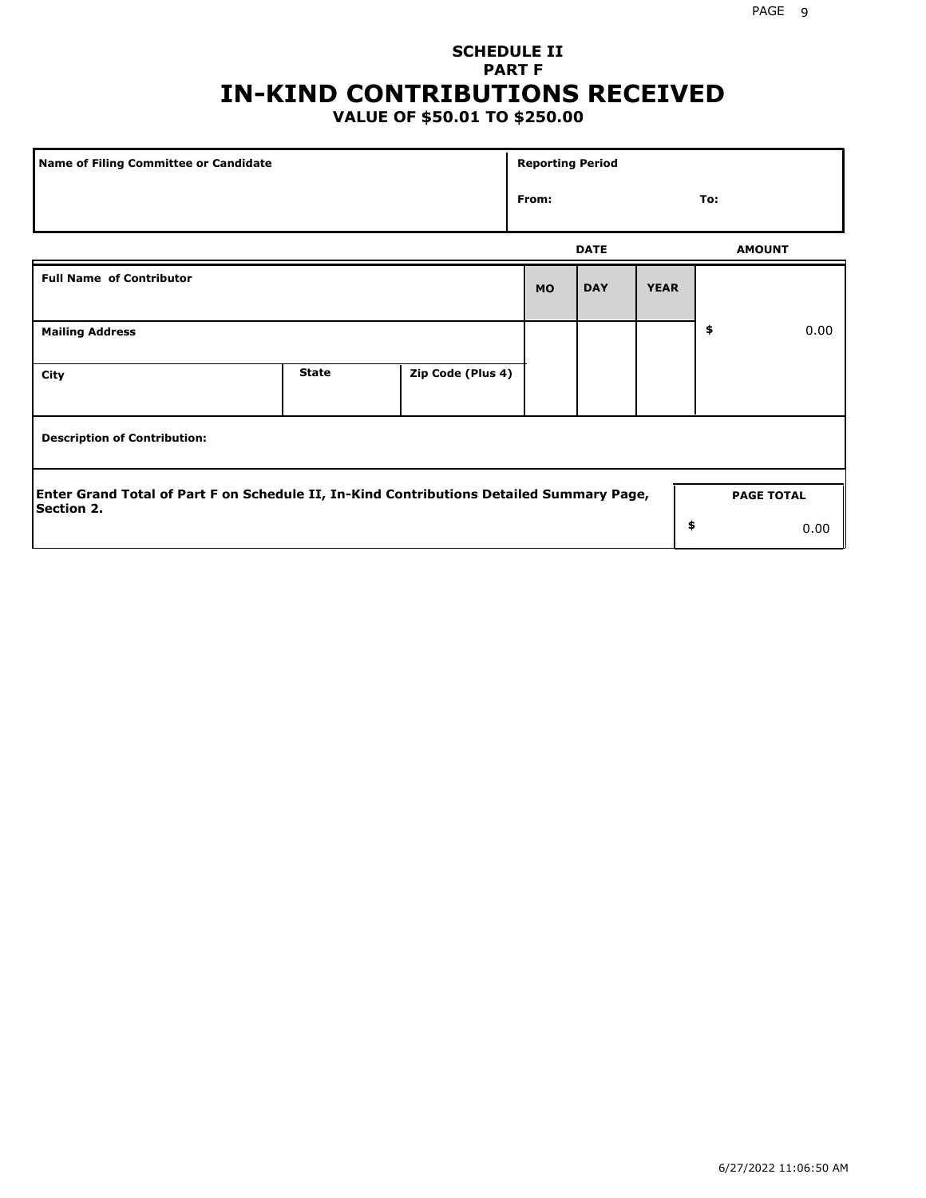## **SCHEDULE II PART F IN-KIND CONTRIBUTIONS RECEIVED**

## **VALUE OF \$50.01 TO \$250.00**

| Name of Filing Committee or Candidate                                                                         |              |                   | <b>Reporting Period</b> |               |             |                   |      |  |
|---------------------------------------------------------------------------------------------------------------|--------------|-------------------|-------------------------|---------------|-------------|-------------------|------|--|
|                                                                                                               | From:        |                   |                         | To:           |             |                   |      |  |
|                                                                                                               |              | <b>DATE</b>       |                         | <b>AMOUNT</b> |             |                   |      |  |
| <b>Full Name of Contributor</b>                                                                               |              |                   | <b>MO</b>               | <b>DAY</b>    | <b>YEAR</b> |                   |      |  |
| <b>Mailing Address</b>                                                                                        |              |                   |                         |               |             | \$                | 0.00 |  |
| City                                                                                                          | <b>State</b> | Zip Code (Plus 4) |                         |               |             |                   |      |  |
| <b>Description of Contribution:</b>                                                                           |              |                   |                         |               |             |                   |      |  |
| Enter Grand Total of Part F on Schedule II, In-Kind Contributions Detailed Summary Page,<br><b>Section 2.</b> |              |                   |                         |               |             | <b>PAGE TOTAL</b> |      |  |
|                                                                                                               |              |                   |                         |               | \$          |                   | 0.00 |  |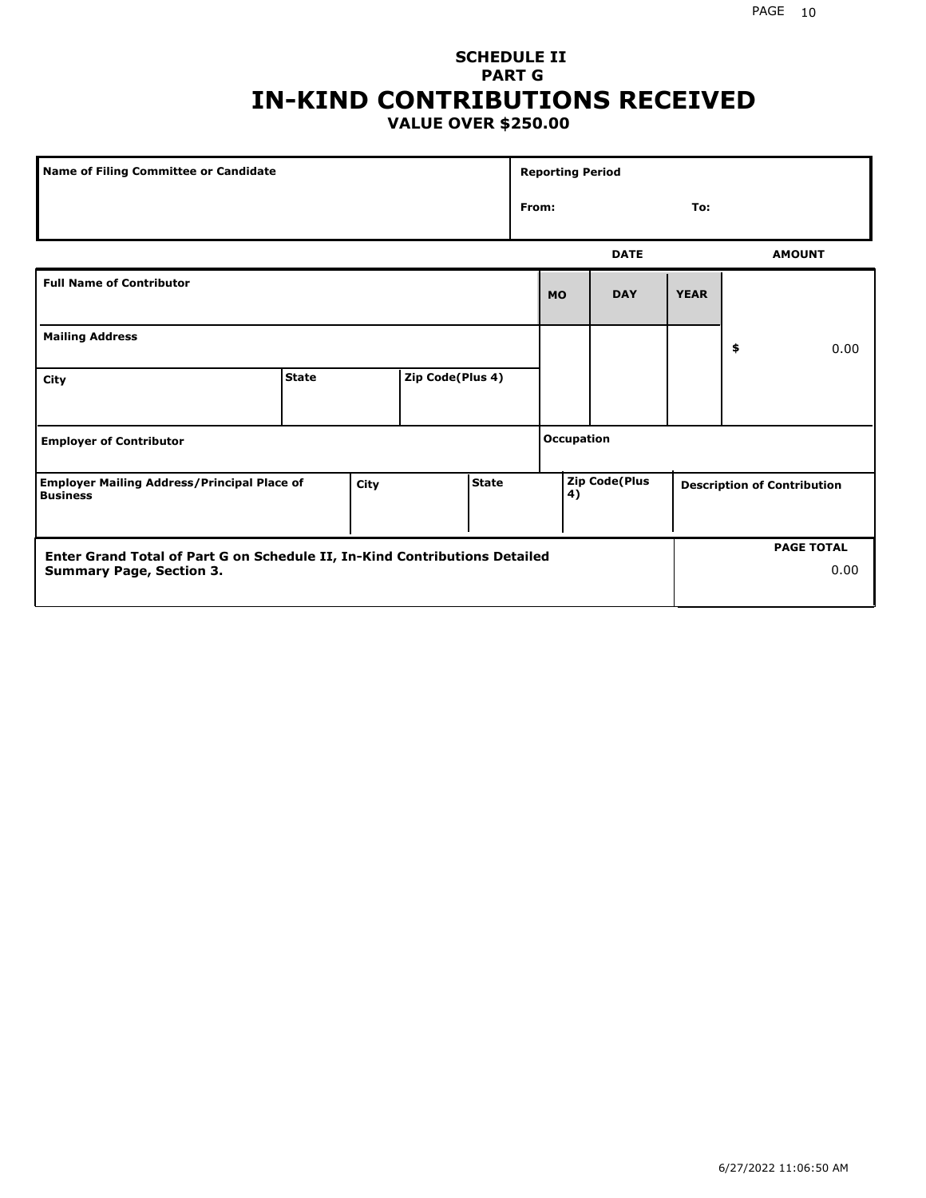## **SCHEDULE II PART G IN-KIND CONTRIBUTIONS RECEIVED VALUE OVER \$250.00**

| Name of Filing Committee or Candidate                                 |              |      |                  | <b>Reporting Period</b> |                   |                                                                  |             |             |    |               |
|-----------------------------------------------------------------------|--------------|------|------------------|-------------------------|-------------------|------------------------------------------------------------------|-------------|-------------|----|---------------|
|                                                                       |              |      |                  |                         |                   | From:<br>To:                                                     |             |             |    |               |
|                                                                       |              |      |                  |                         |                   |                                                                  | <b>DATE</b> |             |    | <b>AMOUNT</b> |
| <b>Full Name of Contributor</b>                                       |              |      |                  |                         |                   | <b>MO</b>                                                        | <b>DAY</b>  | <b>YEAR</b> |    |               |
| <b>Mailing Address</b>                                                |              |      |                  |                         |                   |                                                                  |             |             | \$ | 0.00          |
| City                                                                  | <b>State</b> |      | Zip Code(Plus 4) |                         |                   |                                                                  |             |             |    |               |
| <b>Employer of Contributor</b>                                        |              |      |                  |                         | <b>Occupation</b> |                                                                  |             |             |    |               |
| <b>Employer Mailing Address/Principal Place of</b><br><b>Business</b> |              | City |                  | <b>State</b>            |                   | <b>Zip Code(Plus</b><br><b>Description of Contribution</b><br>4) |             |             |    |               |

| <b>Enter Grand Total of Part G on Schedule II, In-Kind Contributions Detailed</b> |  | <b>PAGE TOTAL</b> |
|-----------------------------------------------------------------------------------|--|-------------------|
| <b>Summary Page, Section 3.</b>                                                   |  | 0.00              |
|                                                                                   |  |                   |